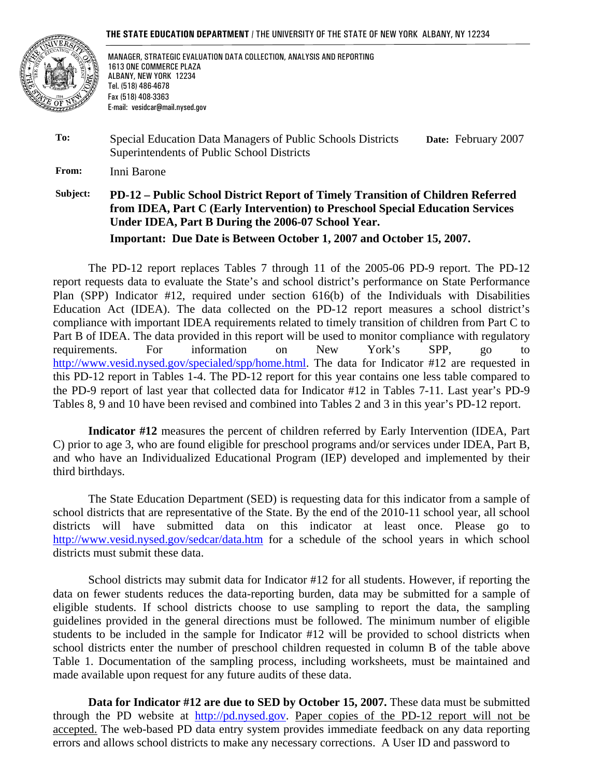**THE STATE EDUCATION DEPARTMENT** / THE UNIVERSITY OF THE STATE OF NEW YORK ALBANY, NY 12234



 MANAGER, STRATEGIC EVALUATION DATA COLLECTION, ANALYSIS AND REPORTING 1613 ONE COMMERCE PLAZA ALBANY, NEW YORK 12234 Tel. (518) 486-4678 Fax (518) 408-3363 E-mail: vesidcar@mail.nysed.gov

**To:** Special Education Data Managers of Public Schools Districts Superintendents of Public School Districts **Date:** February 2007

**From:** Inni Barone

**Subject: PD-12 – Public School District Report of Timely Transition of Children Referred from IDEA, Part C (Early Intervention) to Preschool Special Education Services Under IDEA, Part B During the 2006-07 School Year. Important: Due Date is Between October 1, 2007 and October 15, 2007.**

The PD-12 report replaces Tables 7 through 11 of the 2005-06 PD-9 report. The PD-12 report requests data to evaluate the State's and school district's performance on State Performance Plan (SPP) Indicator #12, required under section 616(b) of the Individuals with Disabilities Education Act (IDEA). The data collected on the PD-12 report measures a school district's compliance with important IDEA requirements related to timely transition of children from Part C to Part B of IDEA. The data provided in this report will be used to monitor compliance with regulatory requirements. For information on New York's SPP, go to http://www.vesid.nysed.gov/specialed/spp/home.html. The data for Indicator #12 are requested in this PD-12 report in Tables 1-4. The PD-12 report for this year contains one less table compared to the PD-9 report of last year that collected data for Indicator #12 in Tables 7-11. Last year's PD-9 Tables 8, 9 and 10 have been revised and combined into Tables 2 and 3 in this year's PD-12 report.

**Indicator #12** measures the percent of children referred by Early Intervention (IDEA, Part C) prior to age 3, who are found eligible for preschool programs and/or services under IDEA, Part B, and who have an Individualized Educational Program (IEP) developed and implemented by their third birthdays.

The State Education Department (SED) is requesting data for this indicator from a sample of school districts that are representative of the State. By the end of the 2010-11 school year, all school districts will have submitted data on this indicator at least once. Please go to http://www.vesid.nysed.gov/sedcar/data.htm for a schedule of the school years in which school districts must submit these data.

 School districts may submit data for Indicator #12 for all students. However, if reporting the data on fewer students reduces the data-reporting burden, data may be submitted for a sample of eligible students. If school districts choose to use sampling to report the data, the sampling guidelines provided in the general directions must be followed. The minimum number of eligible students to be included in the sample for Indicator #12 will be provided to school districts when school districts enter the number of preschool children requested in column B of the table above Table 1. Documentation of the sampling process, including worksheets, must be maintained and made available upon request for any future audits of these data.

 **Data for Indicator #12 are due to SED by October 15, 2007.** These data must be submitted through the PD website at http://pd.nysed.gov. Paper copies of the PD-12 report will not be accepted. The web-based PD data entry system provides immediate feedback on any data reporting errors and allows school districts to make any necessary corrections. A User ID and password to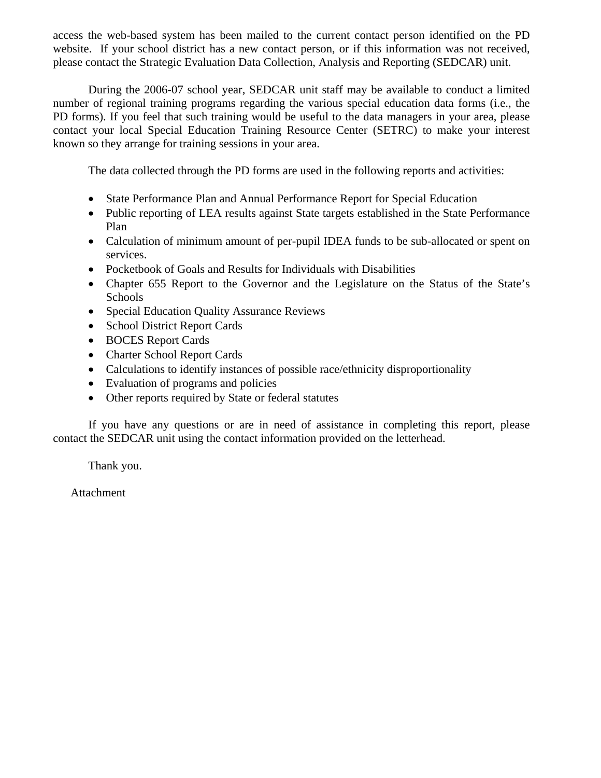access the web-based system has been mailed to the current contact person identified on the PD website. If your school district has a new contact person, or if this information was not received, please contact the Strategic Evaluation Data Collection, Analysis and Reporting (SEDCAR) unit.

 During the 2006-07 school year, SEDCAR unit staff may be available to conduct a limited number of regional training programs regarding the various special education data forms (i.e., the PD forms). If you feel that such training would be useful to the data managers in your area, please contact your local Special Education Training Resource Center (SETRC) to make your interest known so they arrange for training sessions in your area.

The data collected through the PD forms are used in the following reports and activities:

- State Performance Plan and Annual Performance Report for Special Education
- Public reporting of LEA results against State targets established in the State Performance Plan
- Calculation of minimum amount of per-pupil IDEA funds to be sub-allocated or spent on services.
- Pocketbook of Goals and Results for Individuals with Disabilities
- Chapter 655 Report to the Governor and the Legislature on the Status of the State's Schools
- Special Education Quality Assurance Reviews
- School District Report Cards
- BOCES Report Cards
- Charter School Report Cards
- Calculations to identify instances of possible race/ethnicity disproportionality
- Evaluation of programs and policies
- Other reports required by State or federal statutes

If you have any questions or are in need of assistance in completing this report, please contact the SEDCAR unit using the contact information provided on the letterhead.

Thank you.

Attachment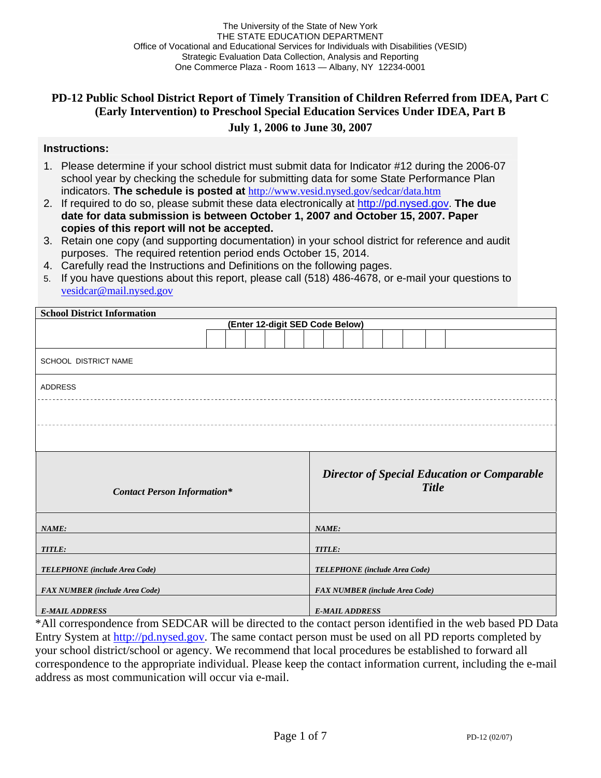# **PD-12 Public School District Report of Timely Transition of Children Referred from IDEA, Part C (Early Intervention) to Preschool Special Education Services Under IDEA, Part B**

# **July 1, 2006 to June 30, 2007**

#### **Instructions:**

- 1. Please determine if your school district must submit data for Indicator #12 during the 2006-07 school year by checking the schedule for submitting data for some State Performance Plan indicators. **The schedule is posted at** http://www.vesid.nysed.gov/sedcar/data.htm
- 2. If required to do so, please submit these data electronically at http://pd.nysed.gov. **The due date for data submission is between October 1, 2007 and October 15, 2007. Paper copies of this report will not be accepted.**
- 3. Retain one copy (and supporting documentation) in your school district for reference and audit purposes. The required retention period ends October 15, 2014.
- 4. Carefully read the Instructions and Definitions on the following pages.
- 5. If you have questions about this report, please call (518) 486-4678, or e-mail your questions to vesidcar@mail.nysed.gov

| <b>School District Information</b>    |                                                                    |  |  |  |
|---------------------------------------|--------------------------------------------------------------------|--|--|--|
| (Enter 12-digit SED Code Below)       |                                                                    |  |  |  |
|                                       |                                                                    |  |  |  |
| <b>SCHOOL DISTRICT NAME</b>           |                                                                    |  |  |  |
| ADDRESS                               |                                                                    |  |  |  |
|                                       |                                                                    |  |  |  |
|                                       |                                                                    |  |  |  |
| <b>Contact Person Information*</b>    | <b>Director of Special Education or Comparable</b><br><b>Title</b> |  |  |  |
| NAME:                                 | NAME:                                                              |  |  |  |
| <b>TITLE:</b>                         | TITLE:                                                             |  |  |  |
| TELEPHONE (include Area Code)         | TELEPHONE (include Area Code)                                      |  |  |  |
| <b>FAX NUMBER</b> (include Area Code) | <b>FAX NUMBER</b> (include Area Code)                              |  |  |  |
| <b>E-MAIL ADDRESS</b>                 | <b>E-MAIL ADDRESS</b>                                              |  |  |  |

\*All correspondence from SEDCAR will be directed to the contact person identified in the web based PD Data Entry System at http://pd.nysed.gov. The same contact person must be used on all PD reports completed by your school district/school or agency. We recommend that local procedures be established to forward all correspondence to the appropriate individual. Please keep the contact information current, including the e-mail address as most communication will occur via e-mail.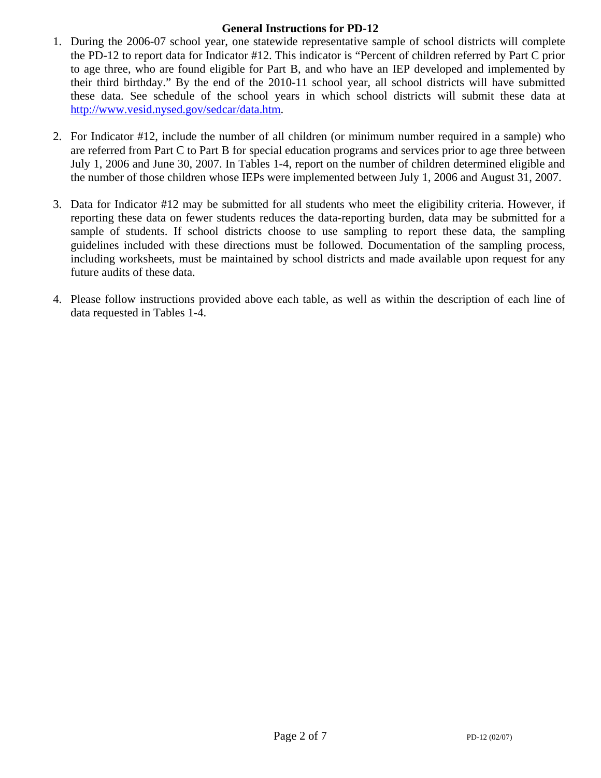#### **General Instructions for PD-12**

- 1. During the 2006-07 school year, one statewide representative sample of school districts will complete the PD-12 to report data for Indicator #12. This indicator is "Percent of children referred by Part C prior to age three, who are found eligible for Part B, and who have an IEP developed and implemented by their third birthday." By the end of the 2010-11 school year, all school districts will have submitted these data. See schedule of the school years in which school districts will submit these data at http://www.vesid.nysed.gov/sedcar/data.htm.
- 2. For Indicator #12, include the number of all children (or minimum number required in a sample) who are referred from Part C to Part B for special education programs and services prior to age three between July 1, 2006 and June 30, 2007. In Tables 1-4, report on the number of children determined eligible and the number of those children whose IEPs were implemented between July 1, 2006 and August 31, 2007.
- 3. Data for Indicator #12 may be submitted for all students who meet the eligibility criteria. However, if reporting these data on fewer students reduces the data-reporting burden, data may be submitted for a sample of students. If school districts choose to use sampling to report these data, the sampling guidelines included with these directions must be followed. Documentation of the sampling process, including worksheets, must be maintained by school districts and made available upon request for any future audits of these data.
- 4. Please follow instructions provided above each table, as well as within the description of each line of data requested in Tables 1-4.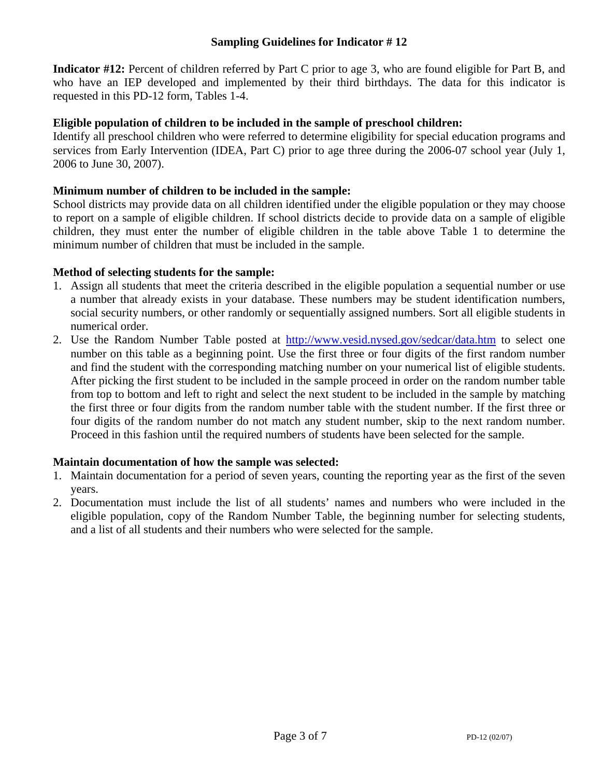**Indicator #12:** Percent of children referred by Part C prior to age 3, who are found eligible for Part B, and who have an IEP developed and implemented by their third birthdays. The data for this indicator is requested in this PD-12 form, Tables 1-4.

### **Eligible population of children to be included in the sample of preschool children:**

Identify all preschool children who were referred to determine eligibility for special education programs and services from Early Intervention (IDEA, Part C) prior to age three during the 2006-07 school year (July 1, 2006 to June 30, 2007).

#### **Minimum number of children to be included in the sample:**

School districts may provide data on all children identified under the eligible population or they may choose to report on a sample of eligible children. If school districts decide to provide data on a sample of eligible children, they must enter the number of eligible children in the table above Table 1 to determine the minimum number of children that must be included in the sample.

### **Method of selecting students for the sample:**

- 1. Assign all students that meet the criteria described in the eligible population a sequential number or use a number that already exists in your database. These numbers may be student identification numbers, social security numbers, or other randomly or sequentially assigned numbers. Sort all eligible students in numerical order.
- 2. Use the Random Number Table posted at http://www.vesid.nysed.gov/sedcar/data.htm to select one number on this table as a beginning point. Use the first three or four digits of the first random number and find the student with the corresponding matching number on your numerical list of eligible students. After picking the first student to be included in the sample proceed in order on the random number table from top to bottom and left to right and select the next student to be included in the sample by matching the first three or four digits from the random number table with the student number. If the first three or four digits of the random number do not match any student number, skip to the next random number. Proceed in this fashion until the required numbers of students have been selected for the sample.

# **Maintain documentation of how the sample was selected:**

- 1. Maintain documentation for a period of seven years, counting the reporting year as the first of the seven years.
- 2. Documentation must include the list of all students' names and numbers who were included in the eligible population, copy of the Random Number Table, the beginning number for selecting students, and a list of all students and their numbers who were selected for the sample.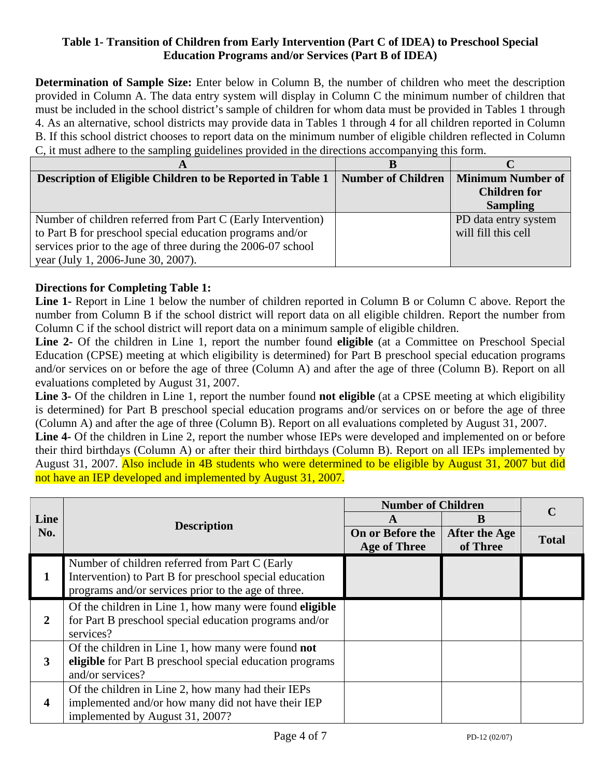# **Table 1- Transition of Children from Early Intervention (Part C of IDEA) to Preschool Special Education Programs and/or Services (Part B of IDEA)**

**Determination of Sample Size:** Enter below in Column B, the number of children who meet the description provided in Column A. The data entry system will display in Column C the minimum number of children that must be included in the school district's sample of children for whom data must be provided in Tables 1 through 4. As an alternative, school districts may provide data in Tables 1 through 4 for all children reported in Column B. If this school district chooses to report data on the minimum number of eligible children reflected in Column C, it must adhere to the sampling guidelines provided in the directions accompanying this form.

| Description of Eligible Children to be Reported in Table 1   | <b>Number of Children</b> | <b>Minimum Number of</b> |
|--------------------------------------------------------------|---------------------------|--------------------------|
|                                                              |                           | <b>Children for</b>      |
|                                                              |                           | <b>Sampling</b>          |
| Number of children referred from Part C (Early Intervention) |                           | PD data entry system     |
| to Part B for preschool special education programs and/or    |                           | will fill this cell      |
| services prior to the age of three during the 2006-07 school |                           |                          |
| year (July 1, 2006-June 30, 2007).                           |                           |                          |

# **Directions for Completing Table 1:**

**Line 1-** Report in Line 1 below the number of children reported in Column B or Column C above. Report the number from Column B if the school district will report data on all eligible children. Report the number from Column C if the school district will report data on a minimum sample of eligible children.

**Line 2-** Of the children in Line 1, report the number found **eligible** (at a Committee on Preschool Special Education (CPSE) meeting at which eligibility is determined) for Part B preschool special education programs and/or services on or before the age of three (Column A) and after the age of three (Column B). Report on all evaluations completed by August 31, 2007.

**Line 3-** Of the children in Line 1, report the number found **not eligible** (at a CPSE meeting at which eligibility is determined) for Part B preschool special education programs and/or services on or before the age of three (Column A) and after the age of three (Column B). Report on all evaluations completed by August 31, 2007.

**Line 4-** Of the children in Line 2, report the number whose IEPs were developed and implemented on or before their third birthdays (Column A) or after their third birthdays (Column B). Report on all IEPs implemented by August 31, 2007. Also include in 4B students who were determined to be eligible by August 31, 2007 but did not have an IEP developed and implemented by August 31, 2007.

|                         |                                                           | <b>Number of Children</b> |                      | $\mathbf C$  |
|-------------------------|-----------------------------------------------------------|---------------------------|----------------------|--------------|
| Line                    | <b>Description</b>                                        | A                         |                      |              |
| No.                     |                                                           | On or Before the          | <b>After the Age</b> | <b>Total</b> |
|                         |                                                           | <b>Age of Three</b>       | of Three             |              |
|                         | Number of children referred from Part C (Early            |                           |                      |              |
|                         | Intervention) to Part B for preschool special education   |                           |                      |              |
|                         | programs and/or services prior to the age of three.       |                           |                      |              |
|                         | Of the children in Line 1, how many were found eligible   |                           |                      |              |
| 2                       | for Part B preschool special education programs and/or    |                           |                      |              |
|                         | services?                                                 |                           |                      |              |
|                         | Of the children in Line 1, how many were found <b>not</b> |                           |                      |              |
| $\mathbf{3}$            | eligible for Part B preschool special education programs  |                           |                      |              |
|                         | and/or services?                                          |                           |                      |              |
|                         | Of the children in Line 2, how many had their IEPs        |                           |                      |              |
| $\overline{\mathbf{4}}$ | implemented and/or how many did not have their IEP        |                           |                      |              |
|                         | implemented by August 31, 2007?                           |                           |                      |              |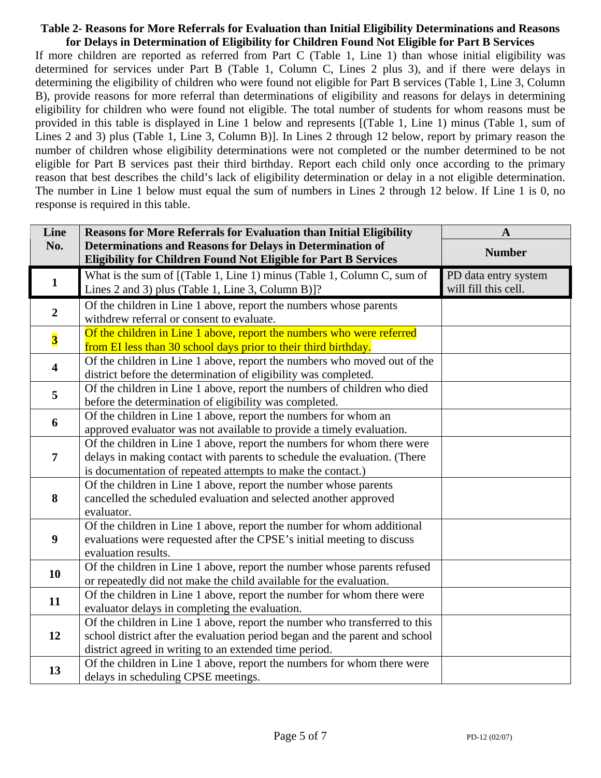## **Table 2- Reasons for More Referrals for Evaluation than Initial Eligibility Determinations and Reasons for Delays in Determination of Eligibility for Children Found Not Eligible for Part B Services**

If more children are reported as referred from Part C (Table 1, Line 1) than whose initial eligibility was determined for services under Part B (Table 1, Column C, Lines 2 plus 3), and if there were delays in determining the eligibility of children who were found not eligible for Part B services (Table 1, Line 3, Column B), provide reasons for more referral than determinations of eligibility and reasons for delays in determining eligibility for children who were found not eligible. The total number of students for whom reasons must be provided in this table is displayed in Line 1 below and represents [(Table 1, Line 1) minus (Table 1, sum of Lines 2 and 3) plus (Table 1, Line 3, Column B)]. In Lines 2 through 12 below, report by primary reason the number of children whose eligibility determinations were not completed or the number determined to be not eligible for Part B services past their third birthday. Report each child only once according to the primary reason that best describes the child's lack of eligibility determination or delay in a not eligible determination. The number in Line 1 below must equal the sum of numbers in Lines 2 through 12 below. If Line 1 is 0, no response is required in this table.

| Line                    | <b>Reasons for More Referrals for Evaluation than Initial Eligibility</b>                                                                    | $\mathbf{A}$         |
|-------------------------|----------------------------------------------------------------------------------------------------------------------------------------------|----------------------|
| No.                     | Determinations and Reasons for Delays in Determination of                                                                                    | <b>Number</b>        |
|                         | Eligibility for Children Found Not Eligible for Part B Services                                                                              |                      |
| $\mathbf{1}$            | What is the sum of [(Table 1, Line 1) minus (Table 1, Column C, sum of                                                                       | PD data entry system |
|                         | Lines 2 and 3) plus (Table 1, Line 3, Column B)]?                                                                                            | will fill this cell. |
| $\overline{2}$          | Of the children in Line 1 above, report the numbers whose parents                                                                            |                      |
|                         | withdrew referral or consent to evaluate.                                                                                                    |                      |
| $\overline{\mathbf{3}}$ | Of the children in Line 1 above, report the numbers who were referred                                                                        |                      |
|                         | from EI less than 30 school days prior to their third birthday.                                                                              |                      |
| $\overline{\mathbf{4}}$ | Of the children in Line 1 above, report the numbers who moved out of the                                                                     |                      |
|                         | district before the determination of eligibility was completed.                                                                              |                      |
| 5                       | Of the children in Line 1 above, report the numbers of children who died                                                                     |                      |
|                         | before the determination of eligibility was completed.                                                                                       |                      |
| 6                       | Of the children in Line 1 above, report the numbers for whom an                                                                              |                      |
|                         | approved evaluator was not available to provide a timely evaluation.                                                                         |                      |
|                         | Of the children in Line 1 above, report the numbers for whom there were                                                                      |                      |
| $\overline{7}$          | delays in making contact with parents to schedule the evaluation. (There                                                                     |                      |
|                         | is documentation of repeated attempts to make the contact.)                                                                                  |                      |
|                         | Of the children in Line 1 above, report the number whose parents                                                                             |                      |
| 8                       | cancelled the scheduled evaluation and selected another approved                                                                             |                      |
|                         | evaluator.                                                                                                                                   |                      |
|                         | Of the children in Line 1 above, report the number for whom additional                                                                       |                      |
| 9                       | evaluations were requested after the CPSE's initial meeting to discuss                                                                       |                      |
|                         | evaluation results.                                                                                                                          |                      |
| 10                      | Of the children in Line 1 above, report the number whose parents refused                                                                     |                      |
|                         | or repeatedly did not make the child available for the evaluation.<br>Of the children in Line 1 above, report the number for whom there were |                      |
| 11                      | evaluator delays in completing the evaluation.                                                                                               |                      |
|                         | Of the children in Line 1 above, report the number who transferred to this                                                                   |                      |
| 12                      | school district after the evaluation period began and the parent and school                                                                  |                      |
|                         | district agreed in writing to an extended time period.                                                                                       |                      |
|                         | Of the children in Line 1 above, report the numbers for whom there were                                                                      |                      |
| 13                      | delays in scheduling CPSE meetings.                                                                                                          |                      |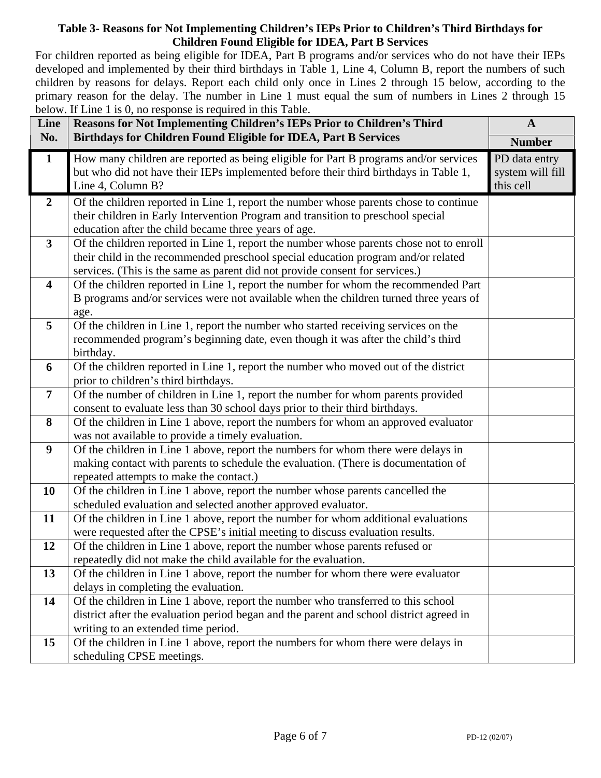# **Table 3- Reasons for Not Implementing Children's IEPs Prior to Children's Third Birthdays for Children Found Eligible for IDEA, Part B Services**

For children reported as being eligible for IDEA, Part B programs and/or services who do not have their IEPs developed and implemented by their third birthdays in Table 1, Line 4, Column B, report the numbers of such children by reasons for delays. Report each child only once in Lines 2 through 15 below, according to the primary reason for the delay. The number in Line 1 must equal the sum of numbers in Lines 2 through 15 below. If Line 1 is 0, no response is required in this Table.

| Line                    | Reasons for Not Implementing Children's IEPs Prior to Children's Third                                                                                               |                  |
|-------------------------|----------------------------------------------------------------------------------------------------------------------------------------------------------------------|------------------|
| No.                     | Birthdays for Children Found Eligible for IDEA, Part B Services                                                                                                      | <b>Number</b>    |
| $\mathbf{1}$            | How many children are reported as being eligible for Part B programs and/or services                                                                                 | PD data entry    |
|                         | but who did not have their IEPs implemented before their third birthdays in Table 1,                                                                                 | system will fill |
|                         | Line 4, Column B?                                                                                                                                                    | this cell        |
| $\overline{2}$          | Of the children reported in Line 1, report the number whose parents chose to continue                                                                                |                  |
|                         | their children in Early Intervention Program and transition to preschool special                                                                                     |                  |
|                         | education after the child became three years of age.                                                                                                                 |                  |
| $\overline{\mathbf{3}}$ | Of the children reported in Line 1, report the number whose parents chose not to enroll                                                                              |                  |
|                         | their child in the recommended preschool special education program and/or related                                                                                    |                  |
|                         | services. (This is the same as parent did not provide consent for services.)                                                                                         |                  |
| $\overline{\mathbf{4}}$ | Of the children reported in Line 1, report the number for whom the recommended Part                                                                                  |                  |
|                         | B programs and/or services were not available when the children turned three years of                                                                                |                  |
| 5                       | age.<br>Of the children in Line 1, report the number who started receiving services on the                                                                           |                  |
|                         | recommended program's beginning date, even though it was after the child's third                                                                                     |                  |
|                         | birthday.                                                                                                                                                            |                  |
| 6                       | Of the children reported in Line 1, report the number who moved out of the district                                                                                  |                  |
|                         | prior to children's third birthdays.                                                                                                                                 |                  |
| $\overline{7}$          | Of the number of children in Line 1, report the number for whom parents provided                                                                                     |                  |
|                         | consent to evaluate less than 30 school days prior to their third birthdays.                                                                                         |                  |
| 8                       | Of the children in Line 1 above, report the numbers for whom an approved evaluator                                                                                   |                  |
|                         | was not available to provide a timely evaluation.                                                                                                                    |                  |
| 9                       | Of the children in Line 1 above, report the numbers for whom there were delays in                                                                                    |                  |
|                         | making contact with parents to schedule the evaluation. (There is documentation of                                                                                   |                  |
|                         | repeated attempts to make the contact.)                                                                                                                              |                  |
| 10                      | Of the children in Line 1 above, report the number whose parents cancelled the                                                                                       |                  |
|                         | scheduled evaluation and selected another approved evaluator.                                                                                                        |                  |
| 11                      | Of the children in Line 1 above, report the number for whom additional evaluations<br>were requested after the CPSE's initial meeting to discuss evaluation results. |                  |
| 12                      | Of the children in Line 1 above, report the number whose parents refused or                                                                                          |                  |
|                         | repeatedly did not make the child available for the evaluation.                                                                                                      |                  |
| 13                      | Of the children in Line 1 above, report the number for whom there were evaluator                                                                                     |                  |
|                         | delays in completing the evaluation.                                                                                                                                 |                  |
| 14                      | Of the children in Line 1 above, report the number who transferred to this school                                                                                    |                  |
|                         | district after the evaluation period began and the parent and school district agreed in                                                                              |                  |
|                         | writing to an extended time period.                                                                                                                                  |                  |
| 15                      | Of the children in Line 1 above, report the numbers for whom there were delays in                                                                                    |                  |
|                         | scheduling CPSE meetings.                                                                                                                                            |                  |